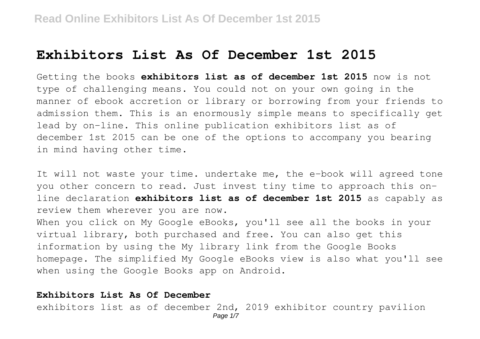# **Exhibitors List As Of December 1st 2015**

Getting the books **exhibitors list as of december 1st 2015** now is not type of challenging means. You could not on your own going in the manner of ebook accretion or library or borrowing from your friends to admission them. This is an enormously simple means to specifically get lead by on-line. This online publication exhibitors list as of december 1st 2015 can be one of the options to accompany you bearing in mind having other time.

It will not waste your time. undertake me, the e-book will agreed tone you other concern to read. Just invest tiny time to approach this online declaration **exhibitors list as of december 1st 2015** as capably as review them wherever you are now.

When you click on My Google eBooks, you'll see all the books in your virtual library, both purchased and free. You can also get this information by using the My library link from the Google Books homepage. The simplified My Google eBooks view is also what you'll see when using the Google Books app on Android.

## **Exhibitors List As Of December**

exhibitors list as of december 2nd, 2019 exhibitor country pavilion Page 1/7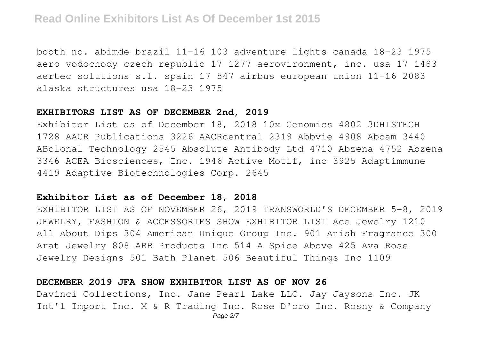booth no. abimde brazil 11-16 103 adventure lights canada 18-23 1975 aero vodochody czech republic 17 1277 aerovironment, inc. usa 17 1483 aertec solutions s.l. spain 17 547 airbus european union 11-16 2083 alaska structures usa 18-23 1975

#### **EXHIBITORS LIST AS OF DECEMBER 2nd, 2019**

Exhibitor List as of December 18, 2018 10x Genomics 4802 3DHISTECH 1728 AACR Publications 3226 AACRcentral 2319 Abbvie 4908 Abcam 3440 ABclonal Technology 2545 Absolute Antibody Ltd 4710 Abzena 4752 Abzena 3346 ACEA Biosciences, Inc. 1946 Active Motif, inc 3925 Adaptimmune 4419 Adaptive Biotechnologies Corp. 2645

## **Exhibitor List as of December 18, 2018**

EXHIBITOR LIST AS OF NOVEMBER 26, 2019 TRANSWORLD'S DECEMBER 5-8, 2019 JEWELRY, FASHION & ACCESSORIES SHOW EXHIBITOR LIST Ace Jewelry 1210 All About Dips 304 American Unique Group Inc. 901 Anish Fragrance 300 Arat Jewelry 808 ARB Products Inc 514 A Spice Above 425 Ava Rose Jewelry Designs 501 Bath Planet 506 Beautiful Things Inc 1109

#### **DECEMBER 2019 JFA SHOW EXHIBITOR LIST AS OF NOV 26**

Davinci Collections, Inc. Jane Pearl Lake LLC. Jay Jaysons Inc. JK Int'l Import Inc. M & R Trading Inc. Rose D'oro Inc. Rosny & Company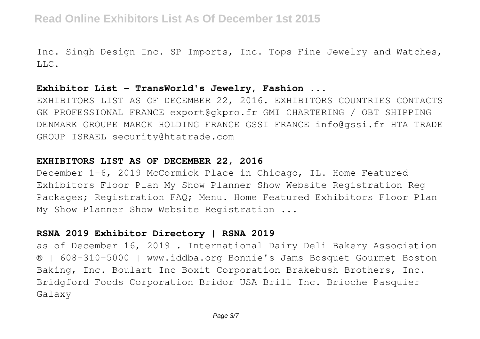Inc. Singh Design Inc. SP Imports, Inc. Tops Fine Jewelry and Watches,  $T.T.C.$ 

## **Exhibitor List - TransWorld's Jewelry, Fashion ...**

EXHIBITORS LIST AS OF DECEMBER 22, 2016. EXHIBITORS COUNTRIES CONTACTS GK PROFESSIONAL FRANCE export@gkpro.fr GMI CHARTERING / OBT SHIPPING DENMARK GROUPE MARCK HOLDING FRANCE GSSI FRANCE info@gssi.fr HTA TRADE GROUP ISRAEL security@htatrade.com

## **EXHIBITORS LIST AS OF DECEMBER 22, 2016**

December 1-6, 2019 McCormick Place in Chicago, IL. Home Featured Exhibitors Floor Plan My Show Planner Show Website Registration Reg Packages; Registration FAQ; Menu. Home Featured Exhibitors Floor Plan My Show Planner Show Website Registration ...

# **RSNA 2019 Exhibitor Directory | RSNA 2019**

as of December 16, 2019 . International Dairy Deli Bakery Association ® | 608-310-5000 | www.iddba.org Bonnie's Jams Bosquet Gourmet Boston Baking, Inc. Boulart Inc Boxit Corporation Brakebush Brothers, Inc. Bridgford Foods Corporation Bridor USA Brill Inc. Brioche Pasquier Galaxy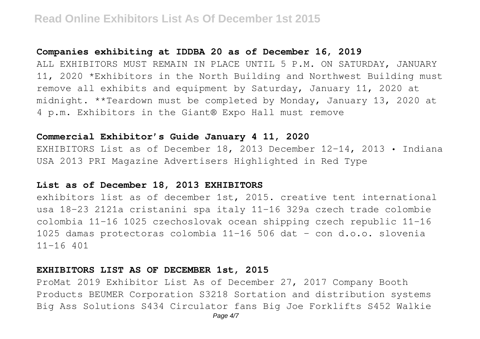#### **Companies exhibiting at IDDBA 20 as of December 16, 2019**

ALL EXHIBITORS MUST REMAIN IN PLACE UNTIL 5 P.M. ON SATURDAY, JANUARY 11, 2020 \*Exhibitors in the North Building and Northwest Building must remove all exhibits and equipment by Saturday, January 11, 2020 at midnight. \*\*Teardown must be completed by Monday, January 13, 2020 at 4 p.m. Exhibitors in the Giant® Expo Hall must remove

## **Commercial Exhibitor's Guide January 4 11, 2020**

EXHIBITORS List as of December 18, 2013 December 12–14, 2013 • Indiana USA 2013 PRI Magazine Advertisers Highlighted in Red Type

## **List as of December 18, 2013 EXHIBITORS**

exhibitors list as of december 1st, 2015. creative tent international usa 18-23 2121a cristanini spa italy 11-16 329a czech trade colombie colombia 11-16 1025 czechoslovak ocean shipping czech republic 11-16 1025 damas protectoras colombia 11-16 506 dat - con d.o.o. slovenia 11-16 401

#### **EXHIBITORS LIST AS OF DECEMBER 1st, 2015**

ProMat 2019 Exhibitor List As of December 27, 2017 Company Booth Products BEUMER Corporation S3218 Sortation and distribution systems Big Ass Solutions S434 Circulator fans Big Joe Forklifts S452 Walkie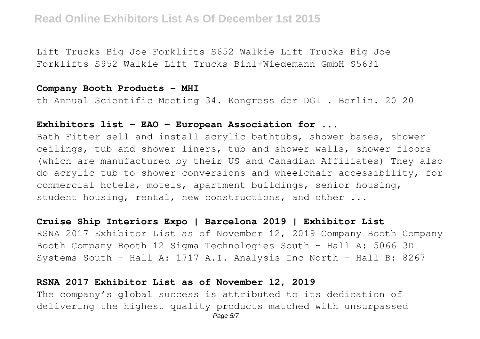Lift Trucks Big Joe Forklifts S652 Walkie Lift Trucks Big Joe Forklifts S952 Walkie Lift Trucks Bihl+Wiedemann GmbH S5631

## **Company Booth Products - MHI**

th Annual Scientific Meeting 34. Kongress der DGI . Berlin. 20 20

## **Exhibitors list - EAO - European Association for ...**

Bath Fitter sell and install acrylic bathtubs, shower bases, shower ceilings, tub and shower liners, tub and shower walls, shower floors (which are manufactured by their US and Canadian Affiliates) They also do acrylic tub-to-shower conversions and wheelchair accessibility, for commercial hotels, motels, apartment buildings, senior housing, student housing, rental, new constructions, and other ...

## **Cruise Ship Interiors Expo | Barcelona 2019 | Exhibitor List**

RSNA 2017 Exhibitor List as of November 12, 2019 Company Booth Company Booth Company Booth 12 Sigma Technologies South - Hall A: 5066 3D Systems South - Hall A: 1717 A.I. Analysis Inc North - Hall B: 8267

## **RSNA 2017 Exhibitor List as of November 12, 2019**

The company's global success is attributed to its dedication of delivering the highest quality products matched with unsurpassed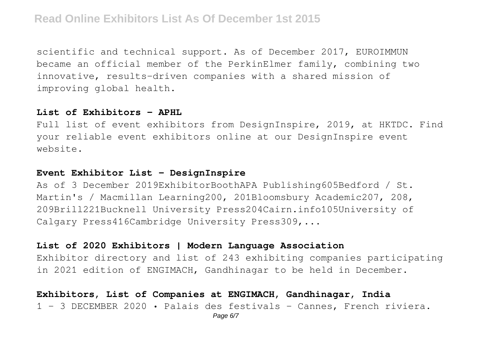scientific and technical support. As of December 2017, EUROIMMUN became an official member of the PerkinElmer family, combining two innovative, results-driven companies with a shared mission of improving global health.

## **List of Exhibitors - APHL**

Full list of event exhibitors from DesignInspire, 2019, at HKTDC. Find your reliable event exhibitors online at our DesignInspire event website.

## **Event Exhibitor List - DesignInspire**

As of 3 December 2019ExhibitorBoothAPA Publishing605Bedford / St. Martin's / Macmillan Learning200, 201Bloomsbury Academic207, 208, 209Brill221Bucknell University Press204Cairn.info105University of Calgary Press416Cambridge University Press309,...

# **List of 2020 Exhibitors | Modern Language Association**

Exhibitor directory and list of 243 exhibiting companies participating in 2021 edition of ENGIMACH, Gandhinagar to be held in December.

# **Exhibitors, List of Companies at ENGIMACH, Gandhinagar, India** 1 - 3 DECEMBER 2020 • Palais des festivals - Cannes, French riviera.